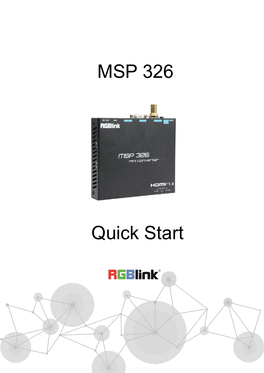# MSP 326



# Quick Start

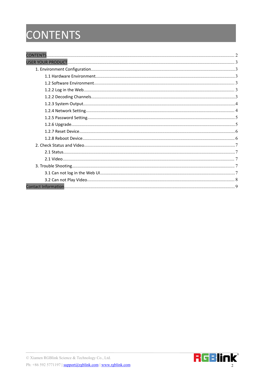## <span id="page-1-0"></span>CONTENTS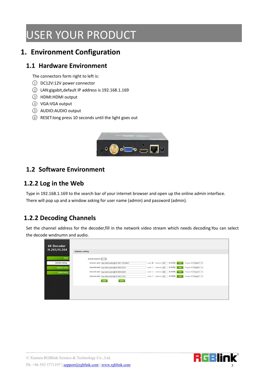## <span id="page-2-0"></span>USER YOUR PRODUCT

#### <span id="page-2-1"></span>**1. Environment Configuration**

#### <span id="page-2-2"></span>**1.1 Hardware Environment**

The connectors form right to left is:

- $(1)$  DC12V:12V power connector
- 2 LAN:gigabit,default IP address is 192.168.1.169
- 3 HDMI:HDMI output
- 4 VGA:VGA output
- 5 AUDIO:AUDIO output
- 6 RESET:long press 10 seconds until the light goes out



#### <span id="page-2-3"></span>**1.2 Software Environment**

#### <span id="page-2-4"></span>**1.2.2 Log in the Web**

Type in 192.168.1.169 to the search bar of your internet browser and open up the online admin interface. There will pop up and a window asking for user name (admin) and password (admin).

#### <span id="page-2-5"></span>**1.2.2 Decoding Channels**

Set the channel address for the decoder,fill in the network video stream which needs decoding.You can select the decode wndnumn and audio.

| <b>4K Decoder</b><br>H.265/H.264 | <b>Address setting</b>                                 |                                                                                    |
|----------------------------------|--------------------------------------------------------|------------------------------------------------------------------------------------|
| <b>Status</b>                    | decode wndnum: $4 - 8$                                 |                                                                                    |
| Address setting                  | channel1 addr: rtsp://admin.admin@192.168.1.166:554/01 | Program ID Program 1 v<br>$[0-4000]$ Full<br>audio: cache(ms): 200                 |
| Advance setting                  | channel2 addr: rtsp://admin.admin@192.168.0.225/3      | $[0-4000]$ Full<br>Program ID Program 1 v<br>audio: O cache(ms): 200               |
| System setting                   | channel3 addr: rtsp://admin.admin@192.168.0.225/3      | Program ID Program 1 v<br>$[0 - 4000]$<br>audio: O cache(ms): 200<br>Full          |
|                                  | channel4 addr: rtsp://admin.admin@192.168.0.225/0      | $[0.4000]$ Full<br>Program ID: Program 1 v<br>$audio:$ $\bigcirc$ $cache(ms):$ 200 |
|                                  | Quad<br>apply                                          |                                                                                    |
|                                  |                                                        |                                                                                    |
|                                  |                                                        |                                                                                    |
|                                  |                                                        |                                                                                    |

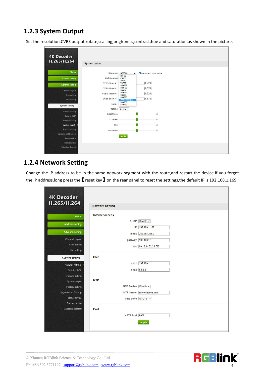#### <span id="page-3-0"></span>**1.2.3 System Output**

Set the resolution,CVBS output,rotate,scalling,brightness,contrast,hue and saturation,as shown in the picture.

| <b>4K Decoder</b>         |                     |                         |                         |  |  |
|---------------------------|---------------------|-------------------------|-------------------------|--|--|
| H.265/H.264               | System output       |                         |                         |  |  |
|                           |                     |                         |                         |  |  |
| <b>Status</b>             | HD output: 1080P60  | $\check{ }$             | he same as input source |  |  |
| <b>Address setting</b>    | CVBS output: 576P50 | 480P60                  |                         |  |  |
|                           |                     | 720P50                  |                         |  |  |
| <b>Advance setting</b>    | <b>CVBS Show X:</b> | 720P60<br>1080P25       | [0, 720]                |  |  |
| <b>Channel Layout</b>     | <b>CVBS Show Y:</b> | 1080P30<br>1080150      | [0, 576]                |  |  |
| Crop setting              | <b>CVBS Show W:</b> | 1080P50<br>1080160      | [0, 720]                |  |  |
| Osd setting               | <b>CVBS Show H:</b> | 1080P60<br>1920x1200@60 | [0, 576]                |  |  |
|                           | rotate:             | 1440P30<br>2160P30      |                         |  |  |
| <b>System setting</b>     |                     | Scaling: Disable v      |                         |  |  |
| Network setting           |                     |                         |                         |  |  |
| Serial to TCP             | brightness:         |                         | 50                      |  |  |
| Passwd setting            | contrast:           |                         | 50                      |  |  |
| System output             | hue:                |                         | 50                      |  |  |
| Factory setting           | saturation:         |                         | 50                      |  |  |
| <b>Upgrade and Backup</b> |                     |                         |                         |  |  |
| Reset device              |                     | apply                   |                         |  |  |
| Reboot device             |                     |                         |                         |  |  |
| <b>Schedule Restart</b>   |                     |                         |                         |  |  |
|                           |                     |                         |                         |  |  |

#### <span id="page-3-1"></span>**1.2.4 Network Setting**

Change the IP address to be in the same network segment with the route,and restart the device.If you forget the IP address, long press the **[**reset key **]** on the rear panel to reset the settings, the default IP is 192.168.1.169.

| H.265/H.264             | <b>Network setting</b>       |
|-------------------------|------------------------------|
| <b>Status</b>           | Internet access              |
|                         | DHCP: Disable v              |
| <b>Address setting</b>  | IP: 192.168.1.169            |
| <b>Advance setting</b>  | mask: 255.255.255.0          |
| <b>Channel Layout</b>   | gateway: 192.168.1.1         |
| Crop setting            | mac: 00:13:14:02:29:CE       |
| Osd setting             |                              |
| <b>System setting</b>   | <b>DNS</b>                   |
| Network setting         | dns1: 192.168.1.1            |
| Serial to TCP           | dns2: 8.8.8.8                |
| Passwd setting          |                              |
| System output           | <b>NTP</b>                   |
| <b>Factory setting</b>  | NTP Enable: Disable v        |
| Upgrade and Backup      | NTP Server: time.windows.com |
| Reset device            | Time Zone: UTC+8 v           |
| Reboot device           |                              |
| <b>Schedule Restart</b> | Port                         |
|                         | HTTP Port: 8086              |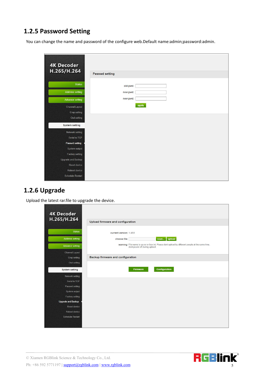#### <span id="page-4-0"></span>**1.2.5 Password Setting**

You can change the name and password of the configure web.Default name:admin;password:admin.

| <b>4K Decoder</b>         |                       |       |  |
|---------------------------|-----------------------|-------|--|
| H.265/H.264               |                       |       |  |
|                           | <b>Passwd setting</b> |       |  |
| <b>Status</b>             | old pwd:              |       |  |
|                           |                       |       |  |
| <b>Address setting</b>    | new pwd:              |       |  |
| <b>Advance setting</b>    | new pwd:              |       |  |
| <b>Channel Layout</b>     |                       | apply |  |
| Crop setting              |                       |       |  |
| Osd setting               |                       |       |  |
| <b>System setting</b>     |                       |       |  |
| Network setting           |                       |       |  |
| Serial to TCP             |                       |       |  |
| Passwd setting            |                       |       |  |
| System output             |                       |       |  |
| Factory setting           |                       |       |  |
| <b>Upgrade and Backup</b> |                       |       |  |
| Reset device              |                       |       |  |
| Reboot device             |                       |       |  |
| <b>Schedule Restart</b>   |                       |       |  |

#### <span id="page-4-1"></span>**1.2.6 Upgrade**

Upload the latest rar.file to upgrade the device.

| <b>4K Decoder</b><br>H.265/H.264 | Upload firmware and configuration                                                                                                  |
|----------------------------------|------------------------------------------------------------------------------------------------------------------------------------|
|                                  |                                                                                                                                    |
| <b>Status</b>                    | current version: 1.48.8                                                                                                            |
| <b>Address setting</b>           | scan upload<br>choose file:                                                                                                        |
| <b>Advance setting</b>           | warning: File name is up.rar or box.ini. Please dont upload by different people at the same time,<br>dont power off during upload. |
| <b>Channel Layout</b>            |                                                                                                                                    |
| Crop setting                     | Backup firmware and configuration                                                                                                  |
| Osd setting                      |                                                                                                                                    |
| <b>System setting</b>            | Configuration<br>Firmware                                                                                                          |
| Network setting                  |                                                                                                                                    |
| Serial to TCP                    |                                                                                                                                    |
| Passwd setting                   |                                                                                                                                    |
| System output                    |                                                                                                                                    |
| Factory setting                  |                                                                                                                                    |
| <b>Upgrade and Backup</b>        |                                                                                                                                    |
| Reset device                     |                                                                                                                                    |
| Reboot device                    |                                                                                                                                    |
| <b>Schedule Restart</b>          |                                                                                                                                    |

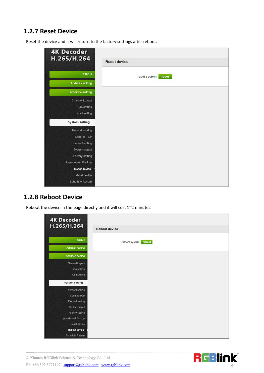#### <span id="page-5-0"></span>**1.2.7 Reset Device**

Reset the device and it will return to the factory settings after reboot.

| <b>4K Decoder</b><br>H.265/H.264 |                        |
|----------------------------------|------------------------|
|                                  | <b>Reset device</b>    |
| <b>Status</b>                    | reset system:<br>reset |
| <b>Address setting</b>           |                        |
| <b>Advance setting</b>           |                        |
| <b>Channel Layout</b>            |                        |
| Crop setting                     |                        |
| Osd setting                      |                        |
| <b>System setting</b>            |                        |
| Network setting                  |                        |
| Serial to TCP                    |                        |
| Passwd setting                   |                        |
| System output                    |                        |
| Factory setting                  |                        |
| Upgrade and Backup               |                        |
| <b>Reset device</b>              |                        |
| Reboot device                    |                        |
| <b>Schedule Restart</b>          |                        |

#### <span id="page-5-1"></span>**1.2.8 Reboot Device**

Reboot the device in the page directly and it will cost  $1^{\sim}2$  minutes.

| <b>4K Decoder</b><br>H.265/H.264 |                        |
|----------------------------------|------------------------|
|                                  | <b>Reboot device</b>   |
| <b>Status</b>                    | restart system: reboot |
| <b>Address setting</b>           |                        |
| Advance setting                  |                        |
| <b>Channel Layout</b>            |                        |
| Crop setting                     |                        |
| Osd setting                      |                        |
| <b>System setting</b>            |                        |
| Network setting                  |                        |
| Serial to TCP                    |                        |
| Passwd setting                   |                        |
| System output                    |                        |
| Factory setting                  |                        |
| Upgrade and Backup               |                        |
| Reset device                     |                        |
| <b>Reboot device</b>             |                        |
| <b>Schedule Restart</b>          |                        |

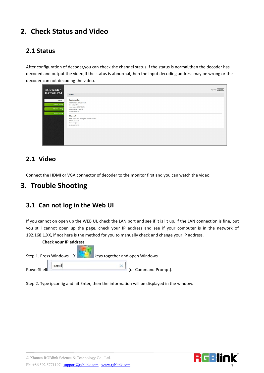### <span id="page-6-0"></span>**2. Check Status and Video**

#### <span id="page-6-1"></span>**2.1 Status**

After configuration of decoder,you can check the channel status.If the status is normal,then the decoder has decoded and output the video; If the status is abnormal, then the input decoding address may be wrong or the decoder can not decoding the video.

| <b>4K Decoder</b><br>H.265/H.264 |                                               | Language: English v |
|----------------------------------|-----------------------------------------------|---------------------|
|                                  | <b>Status</b>                                 |                     |
| <b>Status</b>                    | System status                                 |                     |
|                                  | runtime: 0000-00-00 00:10:36                  |                     |
| Address setting                  | cpu usage: 11%                                |                     |
|                                  | mem usage: 24MB/253MB                         |                     |
| Advance setting                  | output format: 1080P60                        |                     |
| System setting                   | decode wndnum: 1                              |                     |
|                                  | Channel1                                      |                     |
|                                  | addr. rtsp://admin.admin@192.168.1.166:554/01 |                     |
|                                  | status: abnormal                              |                     |
|                                  | frame rate(fps): 0                            |                     |
|                                  | code rate(kbit/s): 0                          |                     |
|                                  |                                               |                     |
|                                  |                                               |                     |
|                                  |                                               |                     |
|                                  |                                               |                     |
|                                  |                                               |                     |
|                                  |                                               |                     |
|                                  |                                               |                     |

#### <span id="page-6-2"></span>**2.1 Video**

<span id="page-6-3"></span>Connect the HDMI or VGA connector of decoder to the monitor first and you can watch the video.

#### **3. Trouble Shooting**

#### <span id="page-6-4"></span>**3.1 Can not log in the Web UI**

If you cannot on open up the WEB UI, check the LAN port and see if it is lit up, if the LAN connection is fine, but you still cannot open up the page, check your IP address and see if your computer is in the network of 192.168.1.XX, if not here is the method for you to manually check and change your IP address.

| Check your IP address       |                                |
|-----------------------------|--------------------------------|
| Step 1. Press Windows + $X$ | keys together and open Windows |
| cmd<br>PowerShell           | (or Command Prompt).           |

Step 2. Type ipconfig and hit Enter, then the information will be displayed in the window.

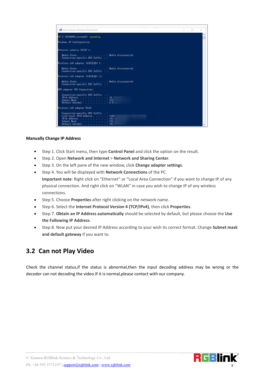

#### **Manually Change IP Address**

- Step 1. Click Start menu, then type **ControlPanel** and click the option on the result.
- Step 2. Open **Network and Internet**> **Network and Sharing Center**.
- Step 3. On the left pane of the new window, click **Change adapter settings**.
- Step 4. You will be displayed with **Network Connections** of the PC. **Important note**: Right click on "Ethernet" or "Local Area Connection" if you want to change IP of any physical connection. And right click on "WLAN" in case you wish to change IP of any wireless connections.
- Step 5. Choose **Properties** after right clicking on the network name.
- Step 6. Select the **Internet Protocol Version 4 (TCP/IPv4)**, then click **Properties**.
- Step 7. **Obtain an IP Address automatically** should be selected by default, but please choose the **Use the Following IP Address**.
- Step 8. Now put your desired IP Address according to your wish its correct format. Change **Subnet mask and default gateway** if you want to.

#### <span id="page-7-0"></span>**3.2 Can not Play Video**

Check the channel status,if the status is abnormal,then the input decoding address may be wrong or the decoder can not decoding the video.If it is normal,please contact with our company.